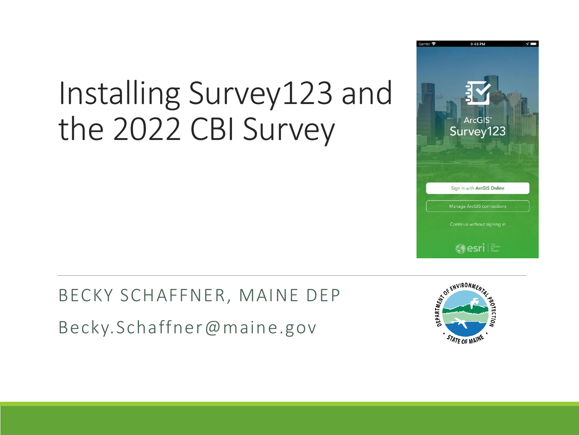## Installing Survey123 and the 2022 CBI Survey

BECKY SCHAFFNER, MAINE DEP Becky.Schaffner@maine.gov



STATE OF MAINE

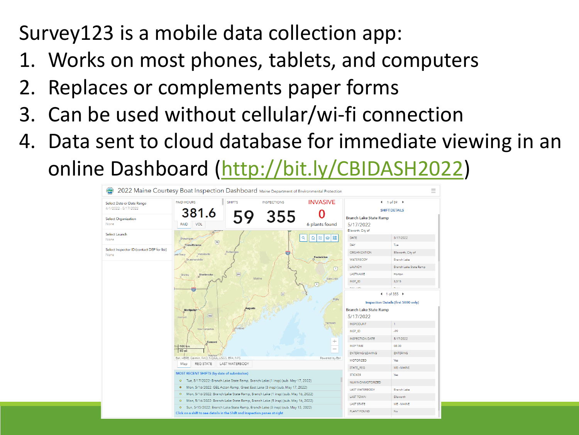#### Survey123 is a mobile data collection app:

- 1. Works on most phones, tablets, and computers
- 2. Replaces or complements paper forms
- 3. Can be used without cellular/wi-fi connection
- 4. Data sent to cloud database for immediate viewing in an online Dashboard ([http://bit.ly/CBIDASH2022\)](http://bit.ly/CBIDASH2022)

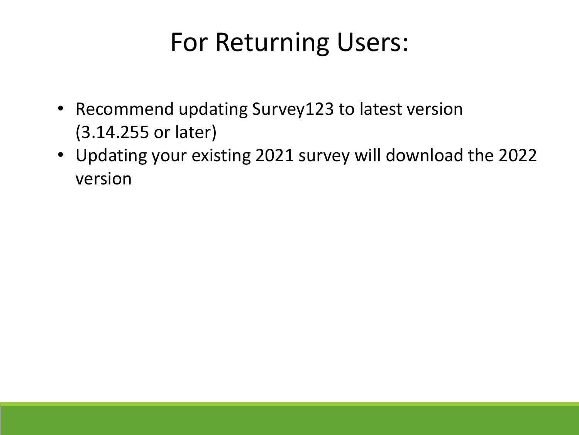### For Returning Users:

- Recommend updating Survey123 to latest version (3.14.255 or later)
- Updating your existing 2021 survey will download the 2022 version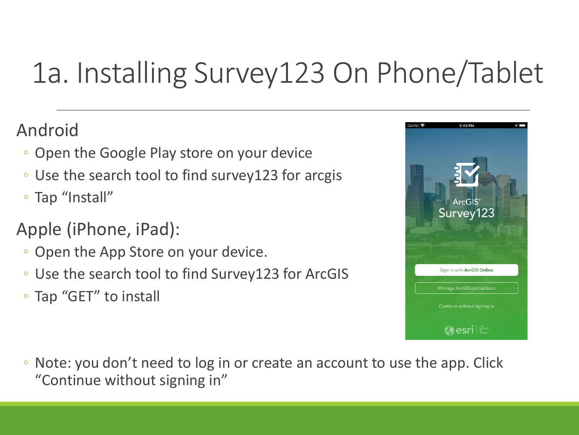## 1a. Installing Survey123 On Phone/Tablet

#### Android

- Open the Google Play store on your device
- Use the search tool to find survey123 for arcgis
- Tap "Install"

#### Apple (iPhone, iPad):

- Open the App Store on your device.
- Use the search tool to find Survey123 for ArcGIS
- Tap "GET" to install



◦ Note: you don't need to log in or create an account to use the app. Click "Continue without signing in"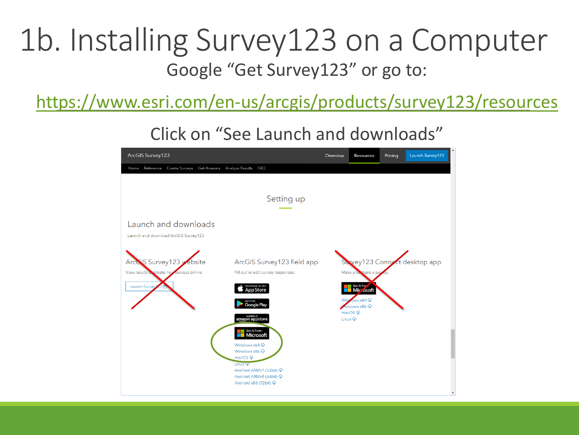#### 1b. Installing Survey123 on a Computer Google "Get Survey123" or go to:

<https://www.esri.com/en-us/arcgis/products/survey123/resources>

Click on "See Launch and downloads"

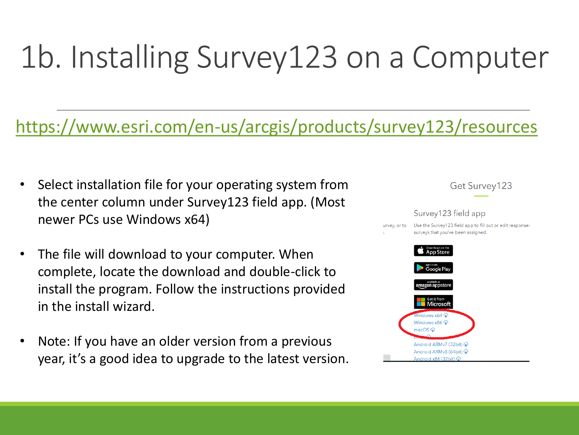# 1b. Installing Survey123 on a Computer

#### <https://www.esri.com/en-us/arcgis/products/survey123/resources>

- Select installation file for your operating system from the center column under Survey123 field app. (Most newer PCs use Windows x64)
- The file will download to your computer. When complete, locate the download and double-click to install the program. Follow the instructions provided in the install wizard.
- Note: If you have an older version from a previous year, it's a good idea to upgrade to the latest version.

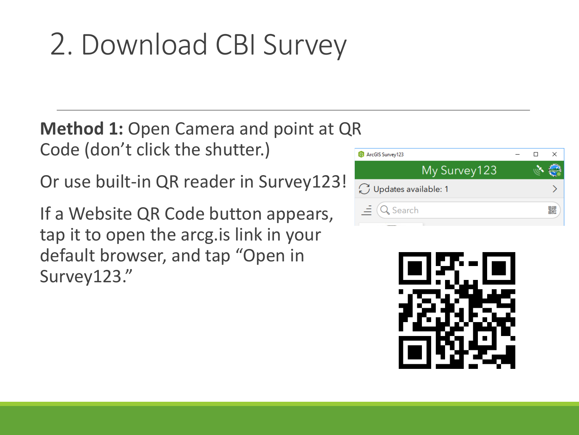## 2. Download CBI Survey

**Method 1: Open Camera and point at QR** Code (don't click the shutter.)

Or use built-in QR reader in Survey123!

If a Website QR Code button appears, tap it to open the arcg.is link in your default browser, and tap "Open in Survey123."



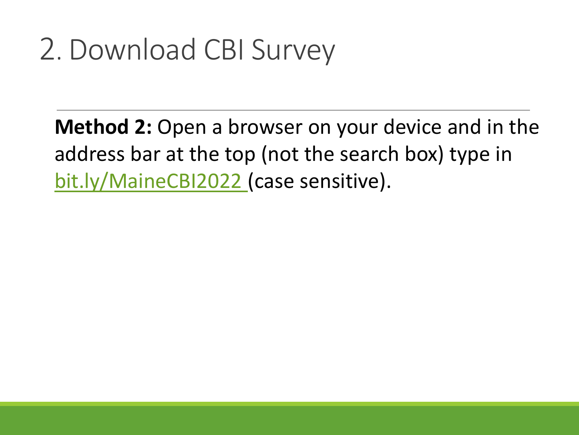### 2. Download CBI Survey

**Method 2:** Open a browser on your device and in the address bar at the top (not the search box) type in <bit.ly/MaineCBI2022>(case sensitive).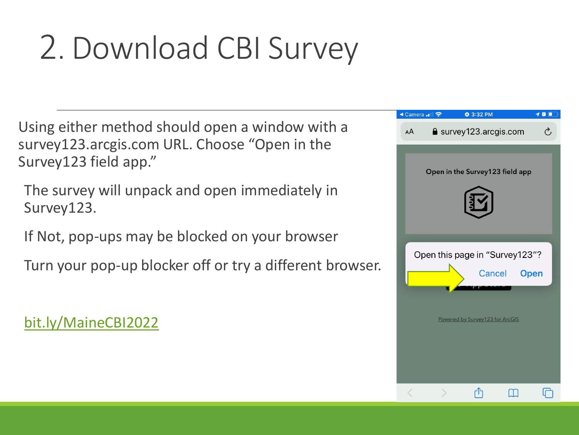# 2. Download CBI Survey

Using either method should open a window with a survey123.arcgis.com URL. Choose "Open in the Survey123 field app."

The survey will unpack and open immediately in Survey123.

If Not, pop-ups may be blocked on your browser

Turn your pop-up blocker off or try a different browser.

#### <bit.ly/MaineCBI2022>

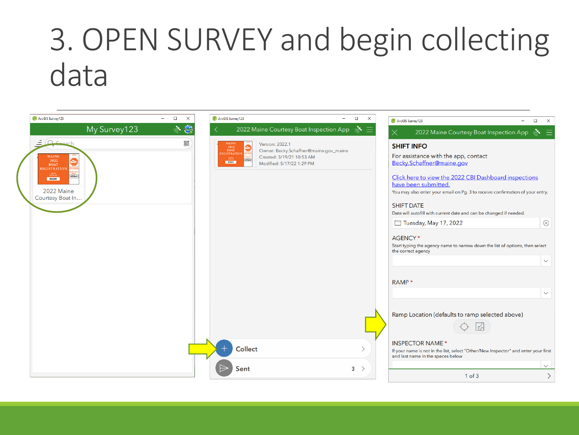## 3. OPEN SURVEY and begin collecting data

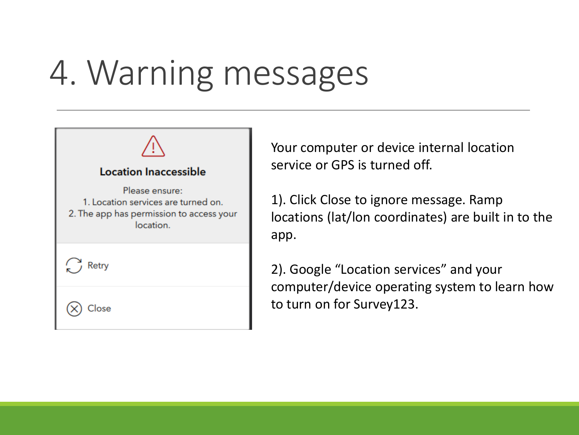# 4. Warning messages



Your computer or device internal location service or GPS is turned off.

1). Click Close to ignore message. Ramp locations (lat/lon coordinates) are built in to the app.

2). Google "Location services" and your computer/device operating system to learn how to turn on for Survey123.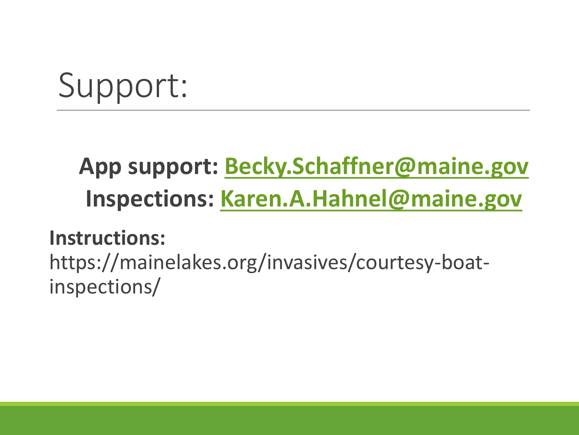# Support:

### **App support: [Becky.Schaffner@maine.gov](mailto:Becky.Schaffner@maine.gov) Inspections: [Karen.A.Hahnel@maine.gov](mailto:Karen.A.Hahnel@maine.gov)**

#### **Instructions:**

https://mainelakes.org/invasives/courtesy-boatinspections/